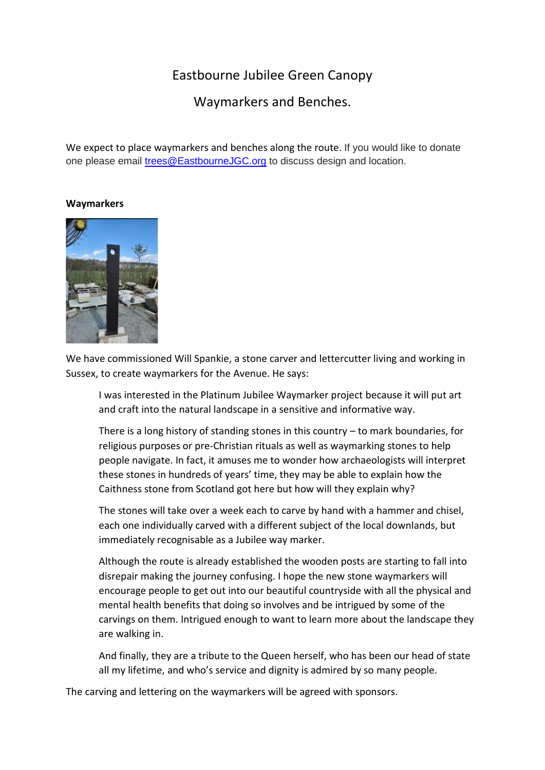## Eastbourne Jubilee Green Canopy

Waymarkers and Benches.

We expect to place waymarkers and benches along the route. If you would like to donate one please email [trees@EastbourneJGC.org](mailto:trees@EastbourneJGC.org) to discuss design and location.

## **Waymarkers**



We have commissioned Will Spankie, a stone carver and lettercutter living and working in Sussex, to create waymarkers for the Avenue. He says:

I was interested in the Platinum Jubilee Waymarker project because it will put art and craft into the natural landscape in a sensitive and informative way.

There is a long history of standing stones in this country – to mark boundaries, for religious purposes or pre-Christian rituals as well as waymarking stones to help people navigate. In fact, it amuses me to wonder how archaeologists will interpret these stones in hundreds of years' time, they may be able to explain how the Caithness stone from Scotland got here but how will they explain why?

The stones will take over a week each to carve by hand with a hammer and chisel, each one individually carved with a different subject of the local downlands, but immediately recognisable as a Jubilee way marker.

Although the route is already established the wooden posts are starting to fall into disrepair making the journey confusing. I hope the new stone waymarkers will encourage people to get out into our beautiful countryside with all the physical and mental health benefits that doing so involves and be intrigued by some of the carvings on them. Intrigued enough to want to learn more about the landscape they are walking in.

And finally, they are a tribute to the Queen herself, who has been our head of state all my lifetime, and who's service and dignity is admired by so many people.

The carving and lettering on the waymarkers will be agreed with sponsors.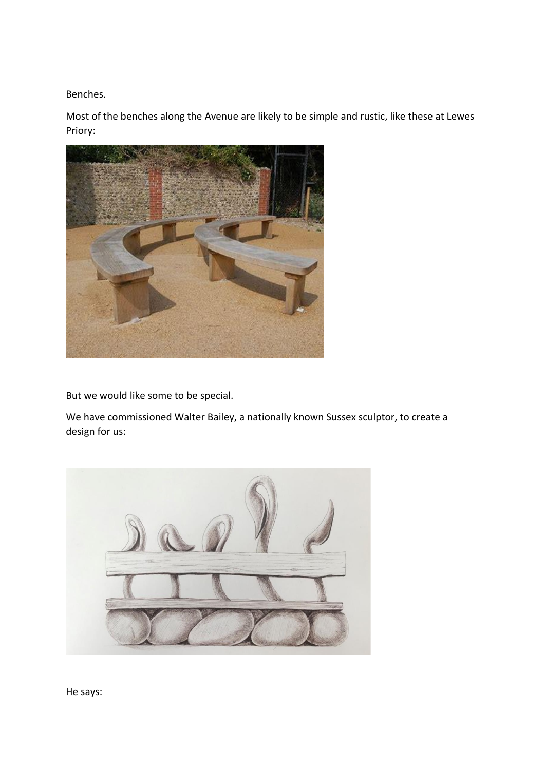Benches.

Most of the benches along the Avenue are likely to be simple and rustic, like these at Lewes Priory:



But we would like some to be special.

We have commissioned Walter Bailey, a nationally known Sussex sculptor, to create a design for us:

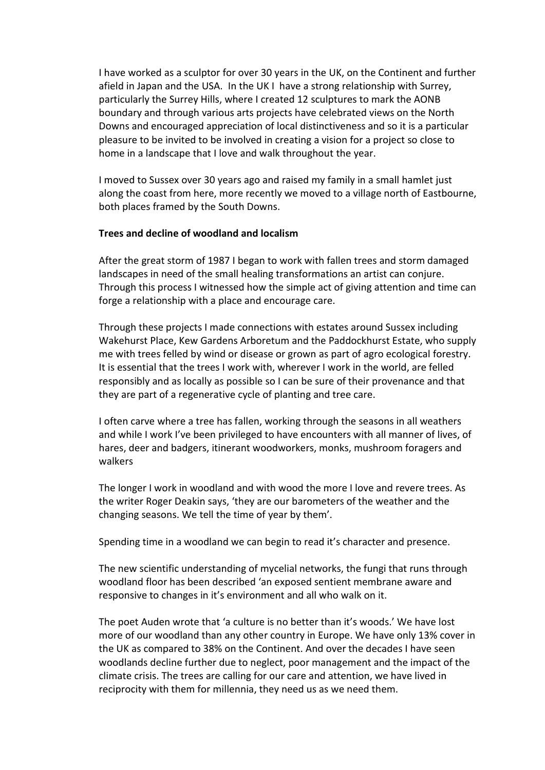I have worked as a sculptor for over 30 years in the UK, on the Continent and further afield in Japan and the USA. In the UK I have a strong relationship with Surrey, particularly the Surrey Hills, where I created 12 sculptures to mark the AONB boundary and through various arts projects have celebrated views on the North Downs and encouraged appreciation of local distinctiveness and so it is a particular pleasure to be invited to be involved in creating a vision for a project so close to home in a landscape that I love and walk throughout the year.

I moved to Sussex over 30 years ago and raised my family in a small hamlet just along the coast from here, more recently we moved to a village north of Eastbourne, both places framed by the South Downs.

## **Trees and decline of woodland and localism**

After the great storm of 1987 I began to work with fallen trees and storm damaged landscapes in need of the small healing transformations an artist can conjure. Through this process I witnessed how the simple act of giving attention and time can forge a relationship with a place and encourage care.

Through these projects I made connections with estates around Sussex including Wakehurst Place, Kew Gardens Arboretum and the Paddockhurst Estate, who supply me with trees felled by wind or disease or grown as part of agro ecological forestry. It is essential that the trees I work with, wherever I work in the world, are felled responsibly and as locally as possible so I can be sure of their provenance and that they are part of a regenerative cycle of planting and tree care.

I often carve where a tree has fallen, working through the seasons in all weathers and while I work I've been privileged to have encounters with all manner of lives, of hares, deer and badgers, itinerant woodworkers, monks, mushroom foragers and walkers

The longer I work in woodland and with wood the more I love and revere trees. As the writer Roger Deakin says, 'they are our barometers of the weather and the changing seasons. We tell the time of year by them'.

Spending time in a woodland we can begin to read it's character and presence.

The new scientific understanding of mycelial networks, the fungi that runs through woodland floor has been described 'an exposed sentient membrane aware and responsive to changes in it's environment and all who walk on it.

The poet Auden wrote that 'a culture is no better than it's woods.' We have lost more of our woodland than any other country in Europe. We have only 13% cover in the UK as compared to 38% on the Continent. And over the decades I have seen woodlands decline further due to neglect, poor management and the impact of the climate crisis. The trees are calling for our care and attention, we have lived in reciprocity with them for millennia, they need us as we need them.